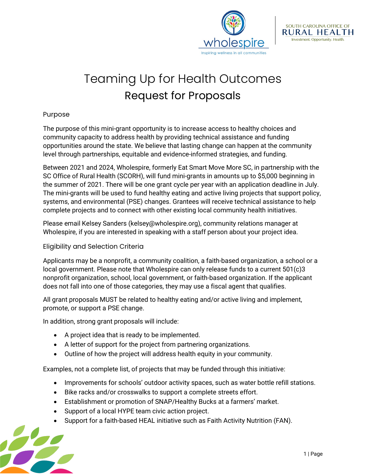



## Teaming Up for Health Outcomes Request for Proposals

## Purpose

The purpose of this mini-grant opportunity is to increase access to healthy choices and community capacity to address health by providing technical assistance and funding opportunities around the state. We believe that lasting change can happen at the community level through partnerships, equitable and evidence-informed strategies, and funding.

Between 2021 and 2024, Wholespire, formerly Eat Smart Move More SC, in partnership with the SC Office of Rural Health (SCORH), will fund mini-grants in amounts up to \$5,000 beginning in the summer of 2021. There will be one grant cycle per year with an application deadline in July. The mini-grants will be used to fund healthy eating and active living projects that support policy, systems, and environmental (PSE) changes. Grantees will receive technical assistance to help complete projects and to connect with other existing local community health initiatives.

Please email Kelsey Sanders (kelsey@wholespire.org), community relations manager at Wholespire, if you are interested in speaking with a staff person about your project idea.

## Eligibility and Selection Criteria

Applicants may be a nonprofit, a community coalition, a faith-based organization, a school or a local government. Please note that Wholespire can only release funds to a current 501(c)3 nonprofit organization, school, local government, or faith-based organization. If the applicant does not fall into one of those categories, they may use a fiscal agent that qualifies.

All grant proposals MUST be related to healthy eating and/or active living and implement, promote, or support a PSE change.

In addition, strong grant proposals will include:

- A project idea that is ready to be implemented.
- A letter of support for the project from partnering organizations.
- Outline of how the project will address health equity in your community.

Examples, not a complete list, of projects that may be funded through this initiative:

- Improvements for schools' outdoor activity spaces, such as water bottle refill stations.
- Bike racks and/or crosswalks to support a complete streets effort.
- Establishment or promotion of SNAP/Healthy Bucks at a farmers' market.
- Support of a local HYPE team civic action project.
- Support for a faith-based HEAL initiative such as Faith Activity Nutrition (FAN).